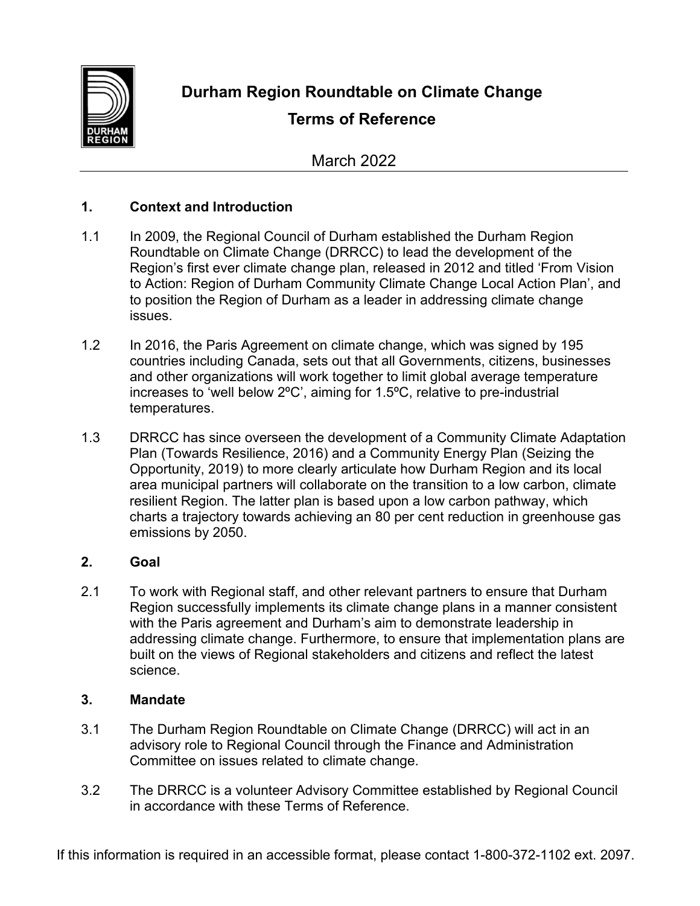

**Durham Region Roundtable on Climate Change**

# **Terms of Reference**

March 2022

## **1. Context and Introduction**

- 1.1 In 2009, the Regional Council of Durham established the Durham Region Roundtable on Climate Change (DRRCC) to lead the development of the Region's first ever climate change plan, released in 2012 and titled 'From Vision to Action: Region of Durham Community Climate Change Local Action Plan', and to position the Region of Durham as a leader in addressing climate change issues.
- 1.2 In 2016, the Paris Agreement on climate change, which was signed by 195 countries including Canada, sets out that all Governments, citizens, businesses and other organizations will work together to limit global average temperature increases to 'well below 2ºC', aiming for 1.5ºC, relative to pre-industrial temperatures.
- 1.3 DRRCC has since overseen the development of a Community Climate Adaptation Plan (Towards Resilience, 2016) and a Community Energy Plan (Seizing the Opportunity, 2019) to more clearly articulate how Durham Region and its local area municipal partners will collaborate on the transition to a low carbon, climate resilient Region. The latter plan is based upon a low carbon pathway, which charts a trajectory towards achieving an 80 per cent reduction in greenhouse gas emissions by 2050.

## **2. Goal**

2.1 To work with Regional staff, and other relevant partners to ensure that Durham Region successfully implements its climate change plans in a manner consistent with the Paris agreement and Durham's aim to demonstrate leadership in addressing climate change. Furthermore, to ensure that implementation plans are built on the views of Regional stakeholders and citizens and reflect the latest science.

## **3. Mandate**

- 3.1 The Durham Region Roundtable on Climate Change (DRRCC) will act in an advisory role to Regional Council through the Finance and Administration Committee on issues related to climate change.
- 3.2 The DRRCC is a volunteer Advisory Committee established by Regional Council in accordance with these Terms of Reference.

If this information is required in an accessible format, please contact 1-800-372-1102 ext. 2097.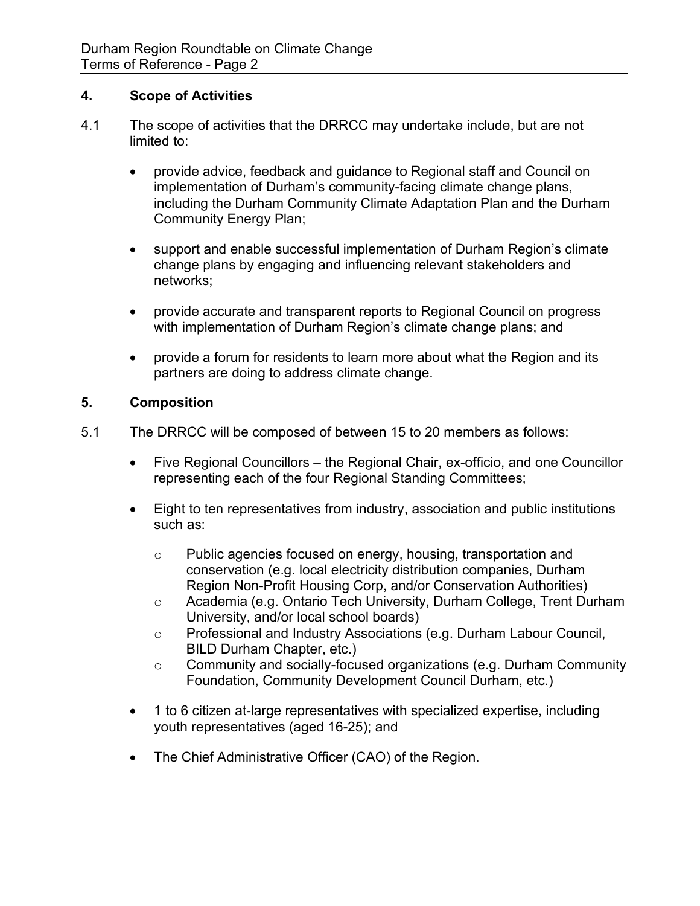### **4. Scope of Activities**

- 4.1 The scope of activities that the DRRCC may undertake include, but are not limited to:
	- provide advice, feedback and guidance to Regional staff and Council on implementation of Durham's community-facing climate change plans, including the Durham Community Climate Adaptation Plan and the Durham Community Energy Plan;
	- support and enable successful implementation of Durham Region's climate change plans by engaging and influencing relevant stakeholders and networks;
	- provide accurate and transparent reports to Regional Council on progress with implementation of Durham Region's climate change plans; and
	- provide a forum for residents to learn more about what the Region and its partners are doing to address climate change.

### **5. Composition**

- 5.1 The DRRCC will be composed of between 15 to 20 members as follows:
	- Five Regional Councillors the Regional Chair, ex-officio, and one Councillor representing each of the four Regional Standing Committees;
	- Eight to ten representatives from industry, association and public institutions such as:
		- o Public agencies focused on energy, housing, transportation and conservation (e.g. local electricity distribution companies, Durham Region Non-Profit Housing Corp, and/or Conservation Authorities)
		- o Academia (e.g. Ontario Tech University, Durham College, Trent Durham University, and/or local school boards)
		- o Professional and Industry Associations (e.g. Durham Labour Council, BILD Durham Chapter, etc.)
		- o Community and socially-focused organizations (e.g. Durham Community Foundation, Community Development Council Durham, etc.)
	- 1 to 6 citizen at-large representatives with specialized expertise, including youth representatives (aged 16-25); and
	- The Chief Administrative Officer (CAO) of the Region.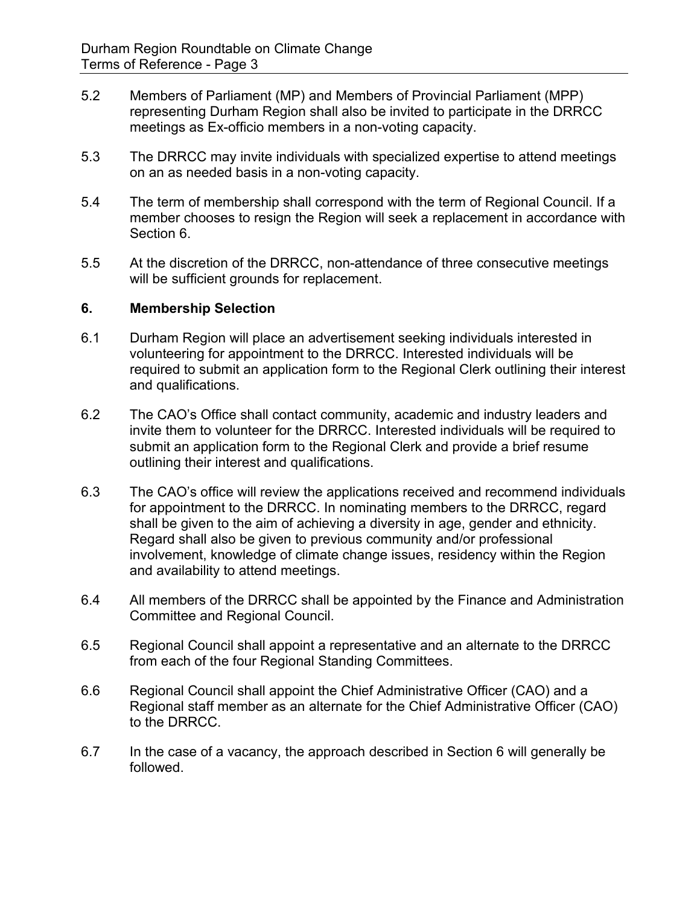- 5.2 Members of Parliament (MP) and Members of Provincial Parliament (MPP) representing Durham Region shall also be invited to participate in the DRRCC meetings as Ex-officio members in a non-voting capacity.
- 5.3 The DRRCC may invite individuals with specialized expertise to attend meetings on an as needed basis in a non-voting capacity.
- 5.4 The term of membership shall correspond with the term of Regional Council. If a member chooses to resign the Region will seek a replacement in accordance with Section 6.
- 5.5 At the discretion of the DRRCC, non-attendance of three consecutive meetings will be sufficient grounds for replacement.

#### **6. Membership Selection**

- 6.1 Durham Region will place an advertisement seeking individuals interested in volunteering for appointment to the DRRCC. Interested individuals will be required to submit an application form to the Regional Clerk outlining their interest and qualifications.
- 6.2 The CAO's Office shall contact community, academic and industry leaders and invite them to volunteer for the DRRCC. Interested individuals will be required to submit an application form to the Regional Clerk and provide a brief resume outlining their interest and qualifications.
- 6.3 The CAO's office will review the applications received and recommend individuals for appointment to the DRRCC. In nominating members to the DRRCC, regard shall be given to the aim of achieving a diversity in age, gender and ethnicity. Regard shall also be given to previous community and/or professional involvement, knowledge of climate change issues, residency within the Region and availability to attend meetings.
- 6.4 All members of the DRRCC shall be appointed by the Finance and Administration Committee and Regional Council.
- 6.5 Regional Council shall appoint a representative and an alternate to the DRRCC from each of the four Regional Standing Committees.
- 6.6 Regional Council shall appoint the Chief Administrative Officer (CAO) and a Regional staff member as an alternate for the Chief Administrative Officer (CAO) to the DRRCC.
- 6.7 In the case of a vacancy, the approach described in Section 6 will generally be followed.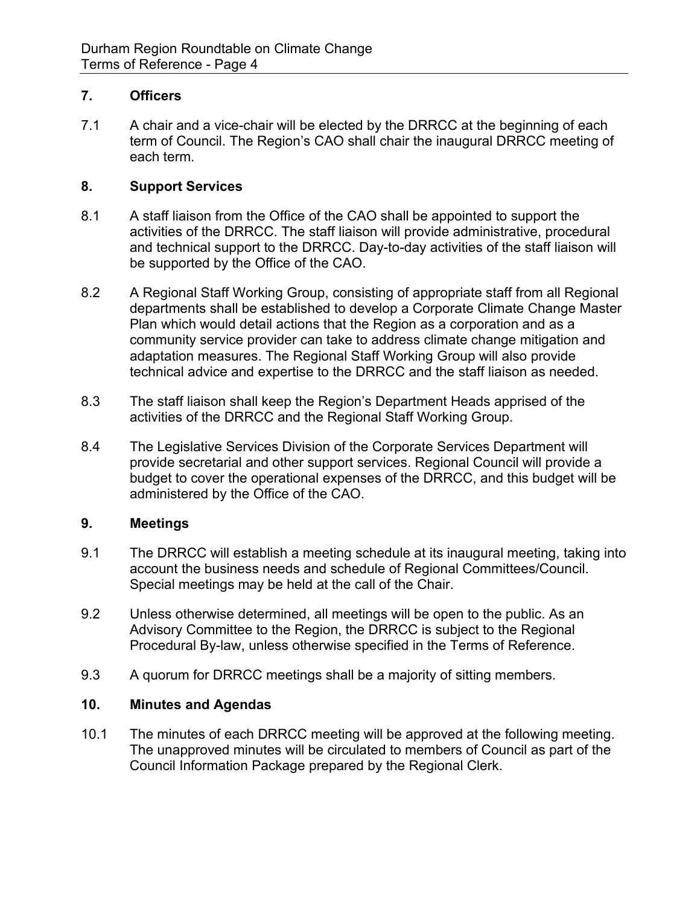#### **7. Officers**

7.1 A chair and a vice-chair will be elected by the DRRCC at the beginning of each term of Council. The Region's CAO shall chair the inaugural DRRCC meeting of each term.

#### **8. Support Services**

- 8.1 A staff liaison from the Office of the CAO shall be appointed to support the activities of the DRRCC. The staff liaison will provide administrative, procedural and technical support to the DRRCC. Day-to-day activities of the staff liaison will be supported by the Office of the CAO.
- 8.2 A Regional Staff Working Group, consisting of appropriate staff from all Regional departments shall be established to develop a Corporate Climate Change Master Plan which would detail actions that the Region as a corporation and as a community service provider can take to address climate change mitigation and adaptation measures. The Regional Staff Working Group will also provide technical advice and expertise to the DRRCC and the staff liaison as needed.
- 8.3 The staff liaison shall keep the Region's Department Heads apprised of the activities of the DRRCC and the Regional Staff Working Group.
- 8.4 The Legislative Services Division of the Corporate Services Department will provide secretarial and other support services. Regional Council will provide a budget to cover the operational expenses of the DRRCC, and this budget will be administered by the Office of the CAO.

## **9. Meetings**

- 9.1 The DRRCC will establish a meeting schedule at its inaugural meeting, taking into account the business needs and schedule of Regional Committees/Council. Special meetings may be held at the call of the Chair.
- 9.2 Unless otherwise determined, all meetings will be open to the public. As an Advisory Committee to the Region, the DRRCC is subject to the Regional Procedural By-law, unless otherwise specified in the Terms of Reference.
- 9.3 A quorum for DRRCC meetings shall be a majority of sitting members.

#### **10. Minutes and Agendas**

10.1 The minutes of each DRRCC meeting will be approved at the following meeting. The unapproved minutes will be circulated to members of Council as part of the Council Information Package prepared by the Regional Clerk.